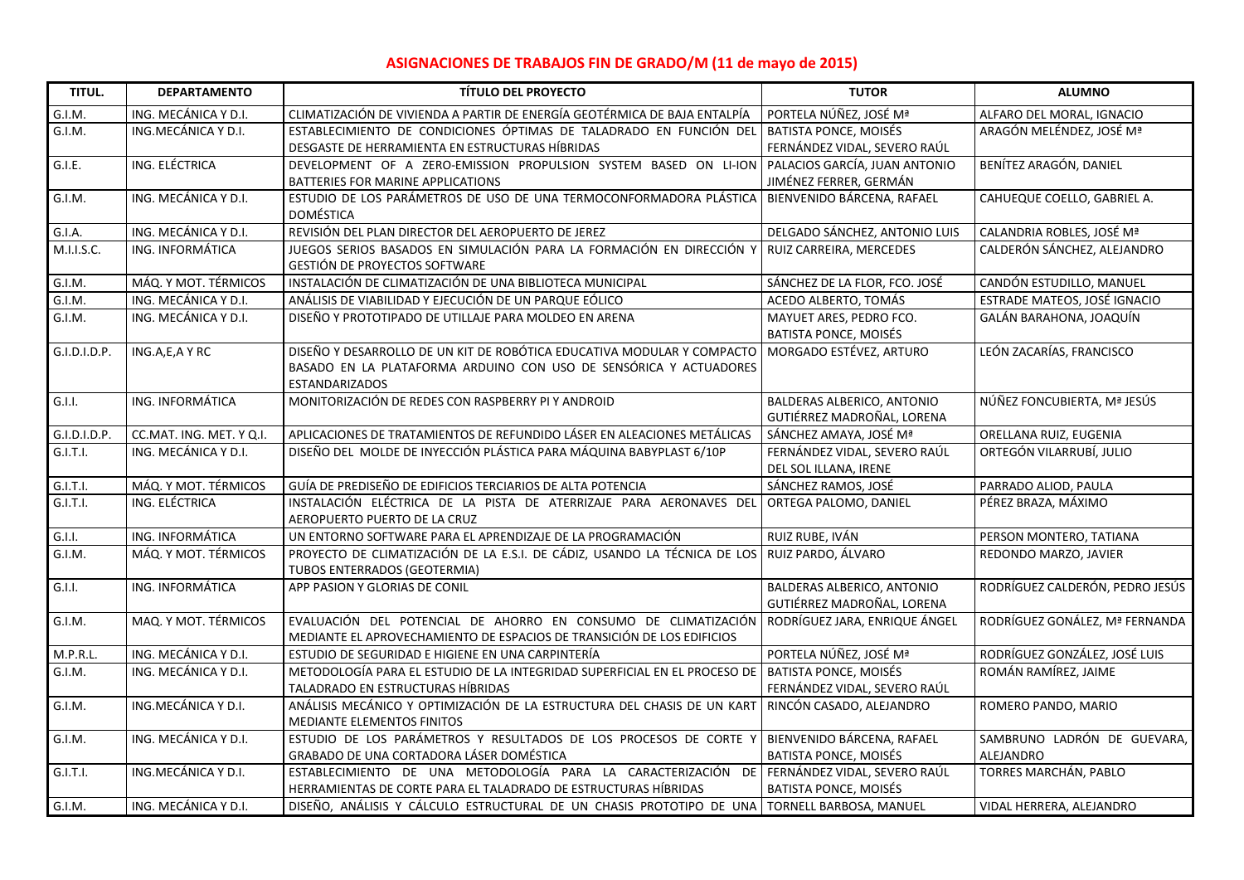## **ASIGNACIONES DE TRABAJOS FIN DE GRADO/M (11 de mayo de 2015)**

| TITUL.                 | <b>DEPARTAMENTO</b>      | <b>TÍTULO DEL PROYECTO</b>                                                                                                                                           | <b>TUTOR</b>                                                    | <b>ALUMNO</b>                            |
|------------------------|--------------------------|----------------------------------------------------------------------------------------------------------------------------------------------------------------------|-----------------------------------------------------------------|------------------------------------------|
| G.I.M.                 | ING. MECÁNICA Y D.I.     | CLIMATIZACIÓN DE VIVIENDA A PARTIR DE ENERGÍA GEOTÉRMICA DE BAJA ENTALPÍA                                                                                            | PORTELA NÚÑEZ, JOSÉ Mª                                          | ALFARO DEL MORAL, IGNACIO                |
| G.I.M.                 | ING.MECÁNICA Y D.I.      | ESTABLECIMIENTO DE CONDICIONES ÓPTIMAS DE TALADRADO EN FUNCIÓN DEL<br>DESGASTE DE HERRAMIENTA EN ESTRUCTURAS HÍBRIDAS                                                | BATISTA PONCE, MOISÉS<br>FERNÁNDEZ VIDAL, SEVERO RAÚL           | ARAGÓN MELÉNDEZ, JOSÉ Mª                 |
| G.I.E.                 | ING. ELÉCTRICA           | DEVELOPMENT OF A ZERO-EMISSION PROPULSION SYSTEM BASED ON LI-ION<br>BATTERIES FOR MARINE APPLICATIONS                                                                | PALACIOS GARCÍA, JUAN ANTONIO<br>JIMÉNEZ FERRER, GERMÁN         | BENÍTEZ ARAGÓN, DANIEL                   |
| G.I.M.                 | ING. MECÁNICA Y D.I.     | ESTUDIO DE LOS PARÁMETROS DE USO DE UNA TERMOCONFORMADORA PLÁSTICA<br><b>DOMÉSTICA</b>                                                                               | BIENVENIDO BÁRCENA, RAFAEL                                      | CAHUEQUE COELLO, GABRIEL A.              |
| G.I.A.                 | ING. MECÁNICA Y D.I.     | REVISIÓN DEL PLAN DIRECTOR DEL AEROPUERTO DE JEREZ                                                                                                                   | DELGADO SÁNCHEZ, ANTONIO LUIS                                   | CALANDRIA ROBLES, JOSÉ Mª                |
| M.I.I.S.C.             | ING. INFORMÁTICA         | JUEGOS SERIOS BASADOS EN SIMULACIÓN PARA LA FORMACIÓN EN DIRECCIÓN Y<br><b>GESTIÓN DE PROYECTOS SOFTWARE</b>                                                         | RUIZ CARREIRA, MERCEDES                                         | CALDERÓN SÁNCHEZ, ALEJANDRO              |
| G.I.M.                 | MÁQ. Y MOT. TÉRMICOS     | INSTALACIÓN DE CLIMATIZACIÓN DE UNA BIBLIOTECA MUNICIPAL                                                                                                             | SÁNCHEZ DE LA FLOR, FCO. JOSÉ                                   | CANDÓN ESTUDILLO, MANUEL                 |
| G.I.M.                 | ING. MECÁNICA Y D.I.     | ANÁLISIS DE VIABILIDAD Y EJECUCIÓN DE UN PARQUE EÓLICO                                                                                                               | ACEDO ALBERTO, TOMÁS                                            | ESTRADE MATEOS, JOSÉ IGNACIO             |
| G.I.M.                 | ING. MECÁNICA Y D.I.     | DISEÑO Y PROTOTIPADO DE UTILLAJE PARA MOLDEO EN ARENA                                                                                                                | MAYUET ARES, PEDRO FCO.<br>BATISTA PONCE, MOISÉS                | GALÁN BARAHONA, JOAQUÍN                  |
| G.I.D.I.D.P.           | ING.A,E,A Y RC           | DISEÑO Y DESARROLLO DE UN KIT DE ROBÓTICA EDUCATIVA MODULAR Y COMPACTO<br>BASADO EN LA PLATAFORMA ARDUINO CON USO DE SENSÓRICA Y ACTUADORES<br><b>ESTANDARIZADOS</b> | MORGADO ESTÉVEZ, ARTURO                                         | LEÓN ZACARÍAS, FRANCISCO                 |
| G.I.I.                 | ING. INFORMÁTICA         | MONITORIZACIÓN DE REDES CON RASPBERRY PI Y ANDROID                                                                                                                   | BALDERAS ALBERICO, ANTONIO<br>GUTIÉRREZ MADROÑAL, LORENA        | NÚÑEZ FONCUBIERTA, Mª JESÚS              |
| G.I.D.I.D.P.           | CC.MAT. ING. MET. Y Q.I. | APLICACIONES DE TRATAMIENTOS DE REFUNDIDO LÁSER EN ALEACIONES METÁLICAS                                                                                              | SÁNCHEZ AMAYA, JOSÉ Mª                                          | ORELLANA RUIZ, EUGENIA                   |
| G.I.T.I.               | ING. MECÁNICA Y D.I.     | DISEÑO DEL MOLDE DE INYECCIÓN PLÁSTICA PARA MÁQUINA BABYPLAST 6/10P                                                                                                  | FERNÁNDEZ VIDAL, SEVERO RAÚL<br>DEL SOL ILLANA, IRENE           | ORTEGÓN VILARRUBÍ, JULIO                 |
| G.I.T.I.               | MÁQ. Y MOT. TÉRMICOS     | GUÍA DE PREDISEÑO DE EDIFICIOS TERCIARIOS DE ALTA POTENCIA                                                                                                           | SÁNCHEZ RAMOS, JOSÉ                                             | PARRADO ALIOD, PAULA                     |
| G.I.T.I.               | ING. ELÉCTRICA           | INSTALACIÓN ELÉCTRICA DE LA PISTA DE ATERRIZAJE PARA AERONAVES DEL ORTEGA PALOMO, DANIEL<br>AEROPUERTO PUERTO DE LA CRUZ                                             |                                                                 | PÉREZ BRAZA, MÁXIMO                      |
| G.I.I.                 | ING. INFORMÁTICA         | UN ENTORNO SOFTWARE PARA EL APRENDIZAJE DE LA PROGRAMACIÓN                                                                                                           | RUIZ RUBE, IVÁN                                                 | PERSON MONTERO, TATIANA                  |
| G.I.M.                 | MÁQ. Y MOT. TÉRMICOS     | PROYECTO DE CLIMATIZACIÓN DE LA E.S.I. DE CÁDIZ, USANDO LA TÉCNICA DE LOS<br>TUBOS ENTERRADOS (GEOTERMIA)                                                            | RUIZ PARDO, ÁLVARO                                              | REDONDO MARZO, JAVIER                    |
| G.I.I.                 | ING. INFORMÁTICA         | APP PASION Y GLORIAS DE CONIL                                                                                                                                        | <b>BALDERAS ALBERICO, ANTONIO</b><br>GUTIÉRREZ MADROÑAL, LORENA | RODRÍGUEZ CALDERÓN, PEDRO JESÚS          |
| G.I.M.                 | MAQ. Y MOT. TÉRMICOS     | EVALUACIÓN DEL POTENCIAL DE AHORRO EN CONSUMO DE CLIMATIZACIÓN<br>MEDIANTE EL APROVECHAMIENTO DE ESPACIOS DE TRANSICIÓN DE LOS EDIFICIOS                             | RODRÍGUEZ JARA, ENRIQUE ÁNGEL                                   | RODRÍGUEZ GONÁLEZ, Mª FERNANDA           |
| M.P.R.L.               | ING. MECÁNICA Y D.I.     | ESTUDIO DE SEGURIDAD E HIGIENE EN UNA CARPINTERÍA                                                                                                                    | PORTELA NÚÑEZ, JOSÉ Mª                                          | RODRÍGUEZ GONZÁLEZ, JOSÉ LUIS            |
| G.I.M.                 | ING. MECÁNICA Y D.I.     | METODOLOGÍA PARA EL ESTUDIO DE LA INTEGRIDAD SUPERFICIAL EN EL PROCESO DE<br>TALADRADO EN ESTRUCTURAS HÍBRIDAS                                                       | <b>BATISTA PONCE, MOISÉS</b><br>FERNÁNDEZ VIDAL, SEVERO RAÚL    | ROMÁN RAMÍREZ, JAIME                     |
| $\overline{G.I.M.}$    | ING.MECÁNICA Y D.I.      | ANÁLISIS MECÁNICO Y OPTIMIZACIÓN DE LA ESTRUCTURA DEL CHASIS DE UN KART<br>MEDIANTE ELEMENTOS FINITOS                                                                | RINCÓN CASADO, ALEJANDRO                                        | ROMERO PANDO, MARIO                      |
| G.I.M.                 | ING. MECÁNICA Y D.I.     | ESTUDIO DE LOS PARÁMETROS Y RESULTADOS DE LOS PROCESOS DE CORTE Y<br>GRABADO DE UNA CORTADORA LÁSER DOMÉSTICA                                                        | BIENVENIDO BÁRCENA, RAFAEL<br><b>BATISTA PONCE, MOISÉS</b>      | SAMBRUNO LADRÓN DE GUEVARA,<br>ALEJANDRO |
| $\overline{G}$ .I.T.I. | ING.MECÁNICA Y D.I.      | ESTABLECIMIENTO DE UNA METODOLOGÍA PARA LA CARACTERIZACIÓN DE FERNÁNDEZ-VIDAL, SEVERO-RAÚL<br>HERRAMIENTAS DE CORTE PARA EL TALADRADO DE ESTRUCTURAS HÍBRIDAS        | BATISTA PONCE, MOISÉS                                           | TORRES MARCHÁN, PABLO                    |
| G.I.M.                 | ING. MECÁNICA Y D.I.     | DISEÑO, ANÁLISIS Y CÁLCULO ESTRUCTURAL DE UN CHASIS PROTOTIPO DE UNA TORNELL BARBOSA, MANUEL                                                                         |                                                                 | VIDAL HERRERA, ALEJANDRO                 |